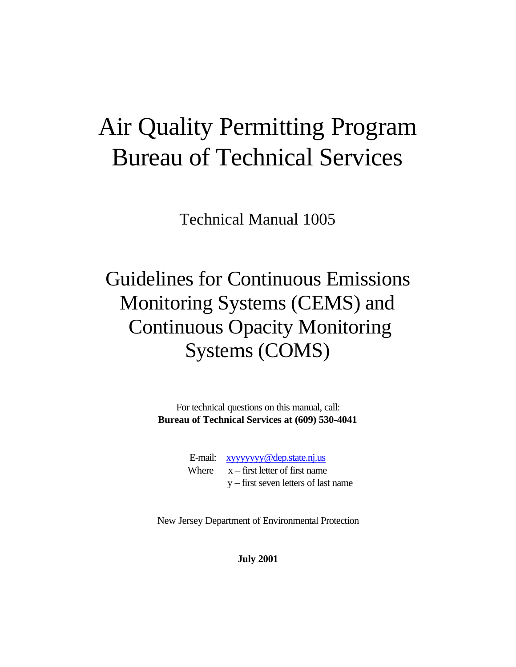## Air Quality Permitting Program Bureau of Technical Services

Technical Manual 1005

## Guidelines for Continuous Emissions Monitoring Systems (CEMS) and Continuous Opacity Monitoring Systems (COMS)

For technical questions on this manual, call: **Bureau of Technical Services at (609) 530-4041**

| E-mail: xyyyyyyy@dep.state.nj.us       |
|----------------------------------------|
| Where $x - first$ letter of first name |
| $y$ – first seven letters of last name |

New Jersey Department of Environmental Protection

**July 2001**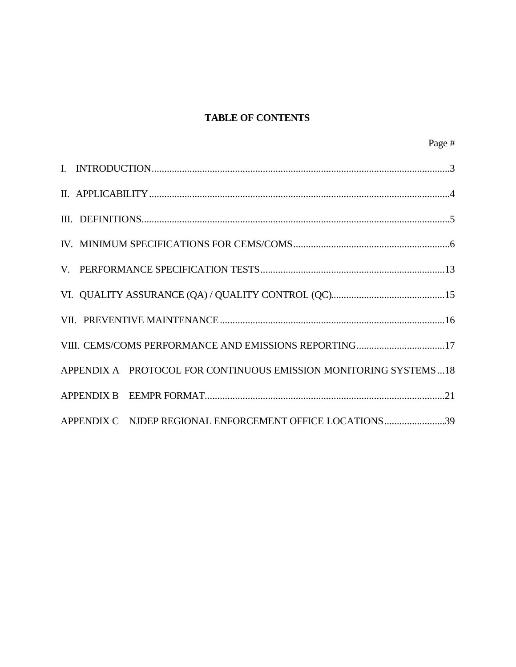#### **TABLE OF CONTENTS**

| VIII. CEMS/COMS PERFORMANCE AND EMISSIONS REPORTING17            |
|------------------------------------------------------------------|
| APPENDIX A PROTOCOL FOR CONTINUOUS EMISSION MONITORING SYSTEMS18 |
|                                                                  |
| APPENDIX C NJDEP REGIONAL ENFORCEMENT OFFICE LOCATIONS39         |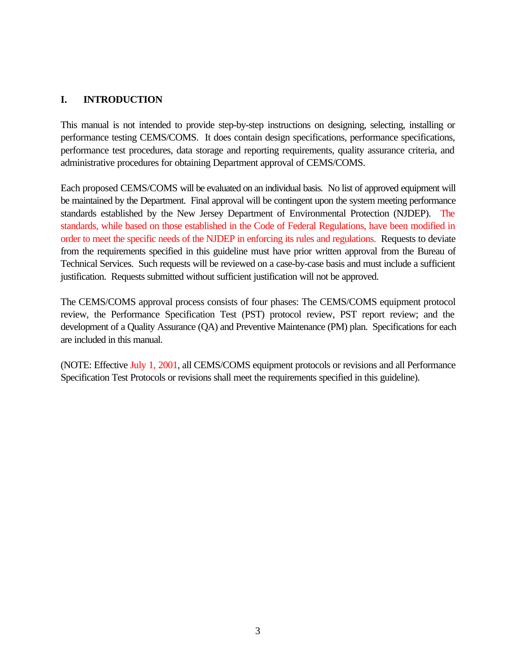#### **I. INTRODUCTION**

This manual is not intended to provide step-by-step instructions on designing, selecting, installing or performance testing CEMS/COMS. It does contain design specifications, performance specifications, performance test procedures, data storage and reporting requirements, quality assurance criteria, and administrative procedures for obtaining Department approval of CEMS/COMS.

Each proposed CEMS/COMS will be evaluated on an individual basis. No list of approved equipment will be maintained by the Department. Final approval will be contingent upon the system meeting performance standards established by the New Jersey Department of Environmental Protection (NJDEP). The standards, while based on those established in the Code of Federal Regulations, have been modified in order to meet the specific needs of the NJDEP in enforcing its rules and regulations. Requests to deviate from the requirements specified in this guideline must have prior written approval from the Bureau of Technical Services. Such requests will be reviewed on a case-by-case basis and must include a sufficient justification. Requests submitted without sufficient justification will not be approved.

The CEMS/COMS approval process consists of four phases: The CEMS/COMS equipment protocol review, the Performance Specification Test (PST) protocol review, PST report review; and the development of a Quality Assurance (QA) and Preventive Maintenance (PM) plan. Specifications for each are included in this manual.

(NOTE: Effective July 1, 2001, all CEMS/COMS equipment protocols or revisions and all Performance Specification Test Protocols or revisions shall meet the requirements specified in this guideline).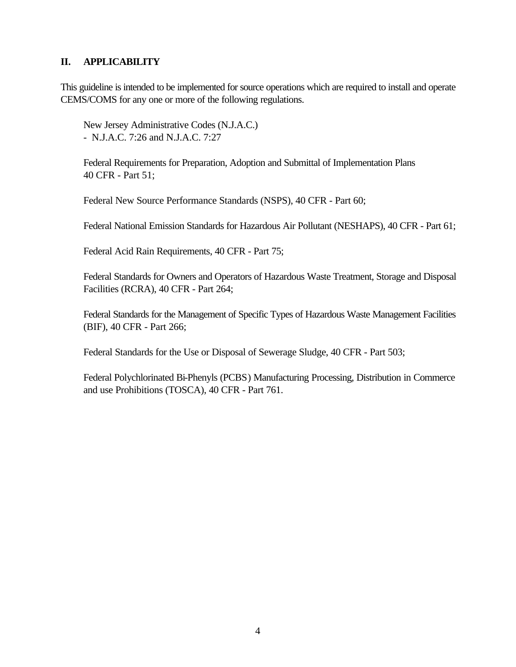#### **II. APPLICABILITY**

This guideline is intended to be implemented for source operations which are required to install and operate CEMS/COMS for any one or more of the following regulations.

New Jersey Administrative Codes (N.J.A.C.) - N.J.A.C. 7:26 and N.J.A.C. 7:27

Federal Requirements for Preparation, Adoption and Submittal of Implementation Plans 40 CFR - Part 51;

Federal New Source Performance Standards (NSPS), 40 CFR - Part 60;

Federal National Emission Standards for Hazardous Air Pollutant (NESHAPS), 40 CFR - Part 61;

Federal Acid Rain Requirements, 40 CFR - Part 75;

Federal Standards for Owners and Operators of Hazardous Waste Treatment, Storage and Disposal Facilities (RCRA), 40 CFR - Part 264;

Federal Standards for the Management of Specific Types of Hazardous Waste Management Facilities (BIF), 40 CFR - Part 266;

Federal Standards for the Use or Disposal of Sewerage Sludge, 40 CFR - Part 503;

Federal Polychlorinated Bi-Phenyls (PCBS) Manufacturing Processing, Distribution in Commerce and use Prohibitions (TOSCA), 40 CFR - Part 761.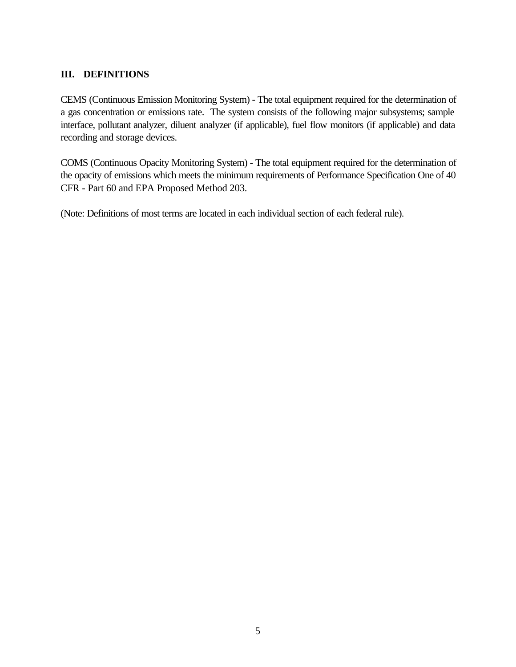#### **III. DEFINITIONS**

CEMS (Continuous Emission Monitoring System) - The total equipment required for the determination of a gas concentration or emissions rate. The system consists of the following major subsystems; sample interface, pollutant analyzer, diluent analyzer (if applicable), fuel flow monitors (if applicable) and data recording and storage devices.

COMS (Continuous Opacity Monitoring System) - The total equipment required for the determination of the opacity of emissions which meets the minimum requirements of Performance Specification One of 40 CFR - Part 60 and EPA Proposed Method 203.

(Note: Definitions of most terms are located in each individual section of each federal rule).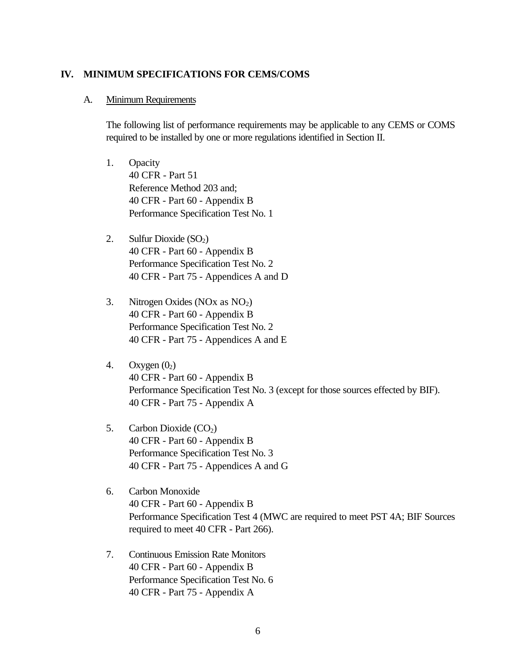#### **IV. MINIMUM SPECIFICATIONS FOR CEMS/COMS**

#### A. Minimum Requirements

The following list of performance requirements may be applicable to any CEMS or COMS required to be installed by one or more regulations identified in Section II.

- 1. Opacity 40 CFR - Part 51 Reference Method 203 and; 40 CFR - Part 60 - Appendix B Performance Specification Test No. 1
- 2. Sulfur Dioxide  $(SO<sub>2</sub>)$ 40 CFR - Part 60 - Appendix B Performance Specification Test No. 2 40 CFR - Part 75 - Appendices A and D
- 3. Nitrogen Oxides (NOx as  $NO<sub>2</sub>$ ) 40 CFR - Part 60 - Appendix B Performance Specification Test No. 2 40 CFR - Part 75 - Appendices A and E
- 4. Oxygen  $(0<sub>2</sub>)$ 40 CFR - Part 60 - Appendix B Performance Specification Test No. 3 (except for those sources effected by BIF). 40 CFR - Part 75 - Appendix A
- 5. Carbon Dioxide  $(CO<sub>2</sub>)$ 40 CFR - Part 60 - Appendix B Performance Specification Test No. 3 40 CFR - Part 75 - Appendices A and G
- 6. Carbon Monoxide 40 CFR - Part 60 - Appendix B Performance Specification Test 4 (MWC are required to meet PST 4A; BIF Sources required to meet 40 CFR - Part 266).
- 7. Continuous Emission Rate Monitors 40 CFR - Part 60 - Appendix B Performance Specification Test No. 6 40 CFR - Part 75 - Appendix A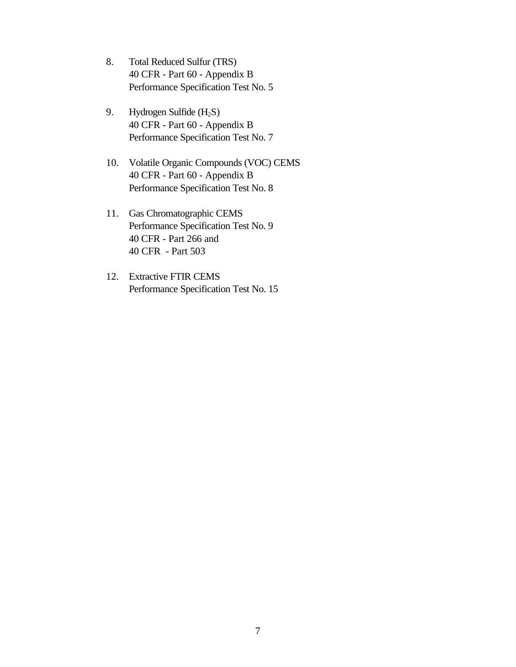- 8. Total Reduced Sulfur (TRS) 40 CFR - Part 60 - Appendix B Performance Specification Test No. 5
- 9. Hydrogen Sulfide (H<sub>2</sub>S) 40 CFR - Part 60 - Appendix B Performance Specification Test No. 7
- 10. Volatile Organic Compounds (VOC) CEMS 40 CFR - Part 60 - Appendix B Performance Specification Test No. 8
- 11. Gas Chromatographic CEMS Performance Specification Test No. 9 40 CFR - Part 266 and 40 CFR - Part 503
- 12. Extractive FTIR CEMS Performance Specification Test No. 15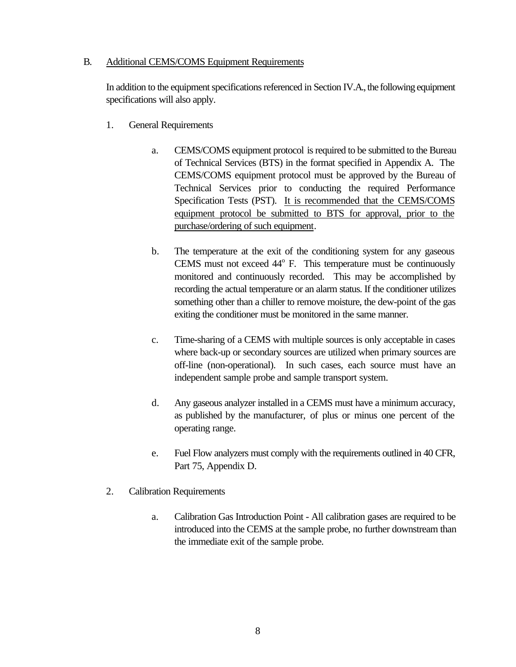#### B. Additional CEMS/COMS Equipment Requirements

In addition to the equipment specifications referenced in Section IV.A., the following equipment specifications will also apply.

- 1. General Requirements
	- a. CEMS/COMS equipment protocol is required to be submitted to the Bureau of Technical Services (BTS) in the format specified in Appendix A. The CEMS/COMS equipment protocol must be approved by the Bureau of Technical Services prior to conducting the required Performance Specification Tests (PST). It is recommended that the CEMS/COMS equipment protocol be submitted to BTS for approval, prior to the purchase/ordering of such equipment.
	- b. The temperature at the exit of the conditioning system for any gaseous CEMS must not exceed 44° F. This temperature must be continuously monitored and continuously recorded. This may be accomplished by recording the actual temperature or an alarm status. If the conditioner utilizes something other than a chiller to remove moisture, the dew-point of the gas exiting the conditioner must be monitored in the same manner.
	- c. Time-sharing of a CEMS with multiple sources is only acceptable in cases where back-up or secondary sources are utilized when primary sources are off-line (non-operational). In such cases, each source must have an independent sample probe and sample transport system.
	- d. Any gaseous analyzer installed in a CEMS must have a minimum accuracy, as published by the manufacturer, of plus or minus one percent of the operating range.
	- e. Fuel Flow analyzers must comply with the requirements outlined in 40 CFR, Part 75, Appendix D.
- 2. Calibration Requirements
	- a. Calibration Gas Introduction Point All calibration gases are required to be introduced into the CEMS at the sample probe, no further downstream than the immediate exit of the sample probe.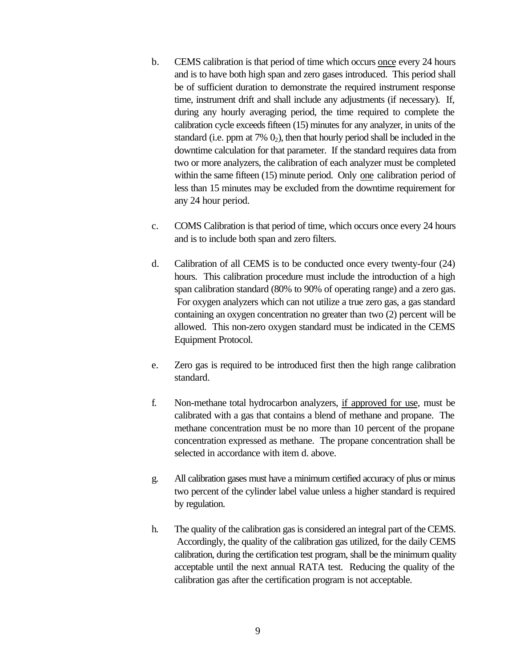- b. CEMS calibration is that period of time which occurs once every 24 hours and is to have both high span and zero gases introduced. This period shall be of sufficient duration to demonstrate the required instrument response time, instrument drift and shall include any adjustments (if necessary). If, during any hourly averaging period, the time required to complete the calibration cycle exceeds fifteen (15) minutes for any analyzer, in units of the standard (i.e. ppm at  $7\%$   $0_2$ ), then that hourly period shall be included in the downtime calculation for that parameter. If the standard requires data from two or more analyzers, the calibration of each analyzer must be completed within the same fifteen (15) minute period. Only one calibration period of less than 15 minutes may be excluded from the downtime requirement for any 24 hour period.
- c. COMS Calibration is that period of time, which occurs once every 24 hours and is to include both span and zero filters.
- d. Calibration of all CEMS is to be conducted once every twenty-four (24) hours. This calibration procedure must include the introduction of a high span calibration standard (80% to 90% of operating range) and a zero gas. For oxygen analyzers which can not utilize a true zero gas, a gas standard containing an oxygen concentration no greater than two (2) percent will be allowed. This non-zero oxygen standard must be indicated in the CEMS Equipment Protocol.
- e. Zero gas is required to be introduced first then the high range calibration standard.
- f. Non-methane total hydrocarbon analyzers, if approved for use, must be calibrated with a gas that contains a blend of methane and propane. The methane concentration must be no more than 10 percent of the propane concentration expressed as methane. The propane concentration shall be selected in accordance with item d. above.
- g. All calibration gases must have a minimum certified accuracy of plus or minus two percent of the cylinder label value unless a higher standard is required by regulation.
- h. The quality of the calibration gas is considered an integral part of the CEMS. Accordingly, the quality of the calibration gas utilized, for the daily CEMS calibration, during the certification test program, shall be the minimum quality acceptable until the next annual RATA test. Reducing the quality of the calibration gas after the certification program is not acceptable.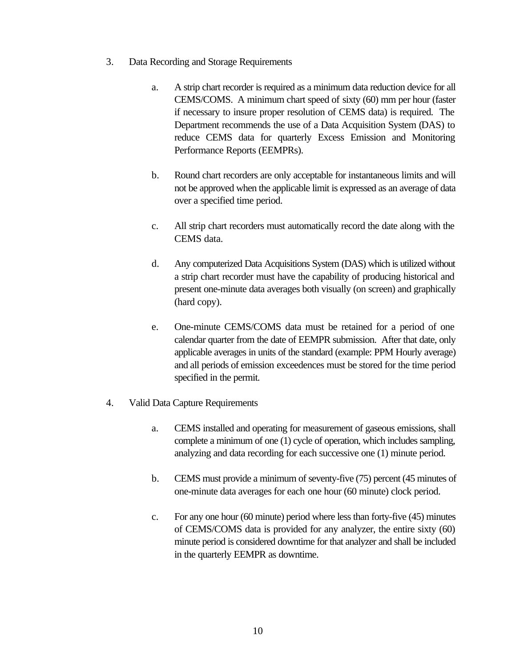- 3. Data Recording and Storage Requirements
	- a. A strip chart recorder is required as a minimum data reduction device for all CEMS/COMS. A minimum chart speed of sixty (60) mm per hour (faster if necessary to insure proper resolution of CEMS data) is required. The Department recommends the use of a Data Acquisition System (DAS) to reduce CEMS data for quarterly Excess Emission and Monitoring Performance Reports (EEMPRs).
	- b. Round chart recorders are only acceptable for instantaneous limits and will not be approved when the applicable limit is expressed as an average of data over a specified time period.
	- c. All strip chart recorders must automatically record the date along with the CEMS data.
	- d. Any computerized Data Acquisitions System (DAS) which is utilized without a strip chart recorder must have the capability of producing historical and present one-minute data averages both visually (on screen) and graphically (hard copy).
	- e. One-minute CEMS/COMS data must be retained for a period of one calendar quarter from the date of EEMPR submission. After that date, only applicable averages in units of the standard (example: PPM Hourly average) and all periods of emission exceedences must be stored for the time period specified in the permit.
- 4. Valid Data Capture Requirements
	- a. CEMS installed and operating for measurement of gaseous emissions, shall complete a minimum of one (1) cycle of operation, which includes sampling, analyzing and data recording for each successive one (1) minute period.
	- b. CEMS must provide a minimum of seventy-five (75) percent (45 minutes of one-minute data averages for each one hour (60 minute) clock period.
	- c. For any one hour (60 minute) period where less than forty-five (45) minutes of CEMS/COMS data is provided for any analyzer, the entire sixty (60) minute period is considered downtime for that analyzer and shall be included in the quarterly EEMPR as downtime.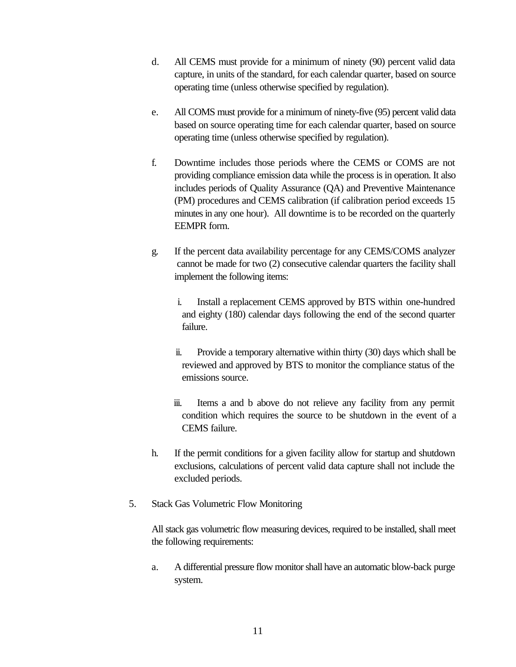- d. All CEMS must provide for a minimum of ninety (90) percent valid data capture, in units of the standard, for each calendar quarter, based on source operating time (unless otherwise specified by regulation).
- e. All COMS must provide for a minimum of ninety-five (95) percent valid data based on source operating time for each calendar quarter, based on source operating time (unless otherwise specified by regulation).
- f. Downtime includes those periods where the CEMS or COMS are not providing compliance emission data while the process is in operation. It also includes periods of Quality Assurance (QA) and Preventive Maintenance (PM) procedures and CEMS calibration (if calibration period exceeds 15 minutes in any one hour). All downtime is to be recorded on the quarterly EEMPR form.
- g. If the percent data availability percentage for any CEMS/COMS analyzer cannot be made for two (2) consecutive calendar quarters the facility shall implement the following items:
	- i. Install a replacement CEMS approved by BTS within one-hundred and eighty (180) calendar days following the end of the second quarter failure.
	- ii. Provide a temporary alternative within thirty (30) days which shall be reviewed and approved by BTS to monitor the compliance status of the emissions source.
	- iii. Items a and b above do not relieve any facility from any permit condition which requires the source to be shutdown in the event of a CEMS failure.
- h. If the permit conditions for a given facility allow for startup and shutdown exclusions, calculations of percent valid data capture shall not include the excluded periods.
- 5. Stack Gas Volumetric Flow Monitoring

All stack gas volumetric flow measuring devices, required to be installed, shall meet the following requirements:

a. A differential pressure flow monitor shall have an automatic blow-back purge system.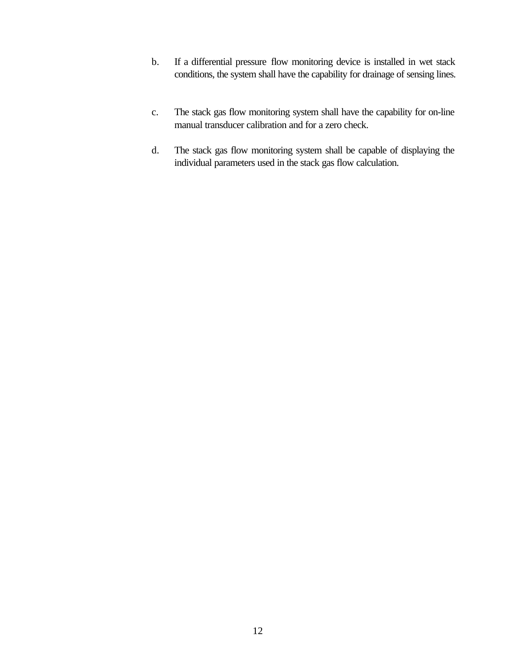- b. If a differential pressure flow monitoring device is installed in wet stack conditions, the system shall have the capability for drainage of sensing lines.
- c. The stack gas flow monitoring system shall have the capability for on-line manual transducer calibration and for a zero check.
- d. The stack gas flow monitoring system shall be capable of displaying the individual parameters used in the stack gas flow calculation.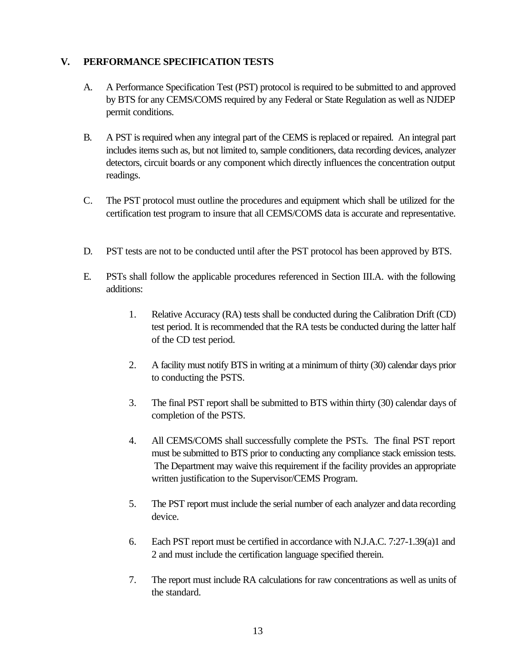#### **V. PERFORMANCE SPECIFICATION TESTS**

- A. A Performance Specification Test (PST) protocol is required to be submitted to and approved by BTS for any CEMS/COMS required by any Federal or State Regulation as well as NJDEP permit conditions.
- B. A PST is required when any integral part of the CEMS is replaced or repaired. An integral part includes items such as, but not limited to, sample conditioners, data recording devices, analyzer detectors, circuit boards or any component which directly influences the concentration output readings.
- C. The PST protocol must outline the procedures and equipment which shall be utilized for the certification test program to insure that all CEMS/COMS data is accurate and representative.
- D. PST tests are not to be conducted until after the PST protocol has been approved by BTS.
- E. PSTs shall follow the applicable procedures referenced in Section III.A. with the following additions:
	- 1. Relative Accuracy (RA) tests shall be conducted during the Calibration Drift (CD) test period. It is recommended that the RA tests be conducted during the latter half of the CD test period.
	- 2. A facility must notify BTS in writing at a minimum of thirty (30) calendar days prior to conducting the PSTS.
	- 3. The final PST report shall be submitted to BTS within thirty (30) calendar days of completion of the PSTS.
	- 4. All CEMS/COMS shall successfully complete the PSTs. The final PST report must be submitted to BTS prior to conducting any compliance stack emission tests. The Department may waive this requirement if the facility provides an appropriate written justification to the Supervisor/CEMS Program.
	- 5. The PST report must include the serial number of each analyzer and data recording device.
	- 6. Each PST report must be certified in accordance with N.J.A.C. 7:27-1.39(a)1 and 2 and must include the certification language specified therein.
	- 7. The report must include RA calculations for raw concentrations as well as units of the standard.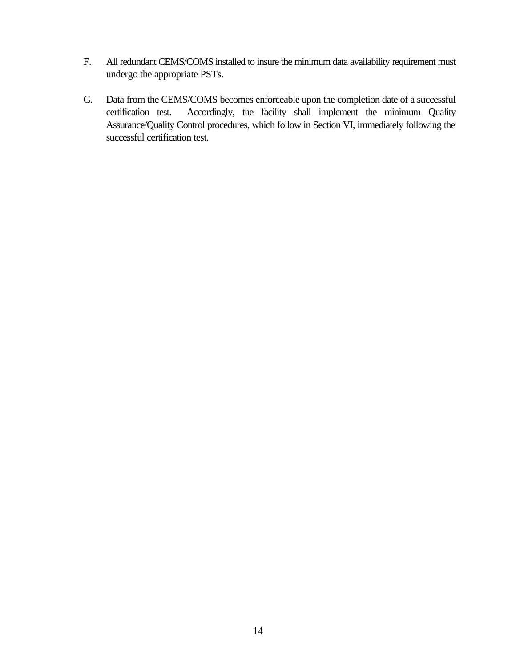- F. All redundant CEMS/COMS installed to insure the minimum data availability requirement must undergo the appropriate PSTs.
- G. Data from the CEMS/COMS becomes enforceable upon the completion date of a successful certification test. Accordingly, the facility shall implement the minimum Quality Assurance/Quality Control procedures, which follow in Section VI, immediately following the successful certification test.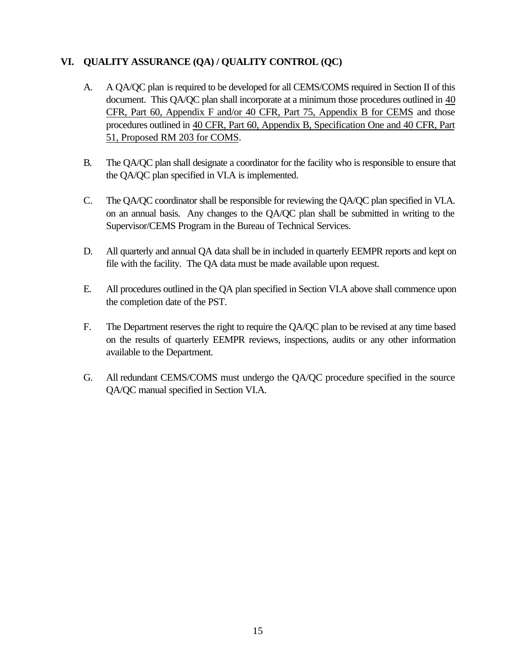#### **VI. QUALITY ASSURANCE (QA) / QUALITY CONTROL (QC)**

- A. A QA/QC plan is required to be developed for all CEMS/COMS required in Section II of this document. This QA/QC plan shall incorporate at a minimum those procedures outlined in 40 CFR, Part 60, Appendix F and/or 40 CFR, Part 75, Appendix B for CEMS and those procedures outlined in 40 CFR, Part 60, Appendix B, Specification One and 40 CFR, Part 51, Proposed RM 203 for COMS.
- B. The QA/QC plan shall designate a coordinator for the facility who is responsible to ensure that the QA/QC plan specified in VI.A is implemented.
- C. The QA/QC coordinator shall be responsible for reviewing the QA/QC plan specified in VI.A. on an annual basis. Any changes to the QA/QC plan shall be submitted in writing to the Supervisor/CEMS Program in the Bureau of Technical Services.
- D. All quarterly and annual QA data shall be in included in quarterly EEMPR reports and kept on file with the facility. The QA data must be made available upon request.
- E. All procedures outlined in the QA plan specified in Section VI.A above shall commence upon the completion date of the PST.
- F. The Department reserves the right to require the QA/QC plan to be revised at any time based on the results of quarterly EEMPR reviews, inspections, audits or any other information available to the Department.
- G. All redundant CEMS/COMS must undergo the QA/QC procedure specified in the source QA/QC manual specified in Section VI.A.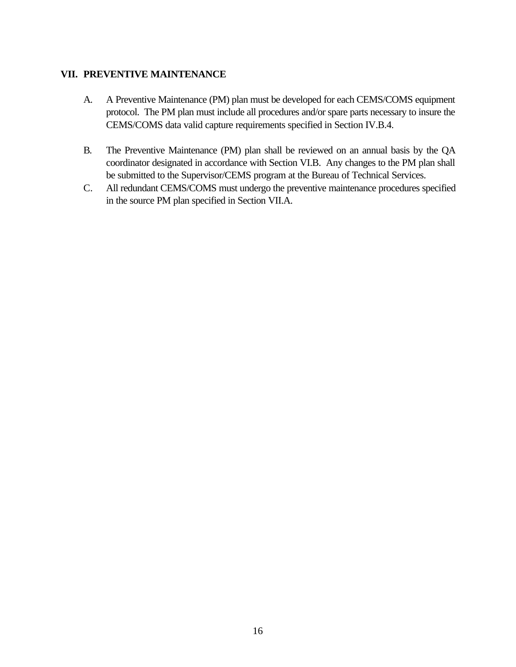#### **VII. PREVENTIVE MAINTENANCE**

- A. A Preventive Maintenance (PM) plan must be developed for each CEMS/COMS equipment protocol. The PM plan must include all procedures and/or spare parts necessary to insure the CEMS/COMS data valid capture requirements specified in Section IV.B.4.
- B. The Preventive Maintenance (PM) plan shall be reviewed on an annual basis by the QA coordinator designated in accordance with Section VI.B. Any changes to the PM plan shall be submitted to the Supervisor/CEMS program at the Bureau of Technical Services.
- C. All redundant CEMS/COMS must undergo the preventive maintenance procedures specified in the source PM plan specified in Section VII.A.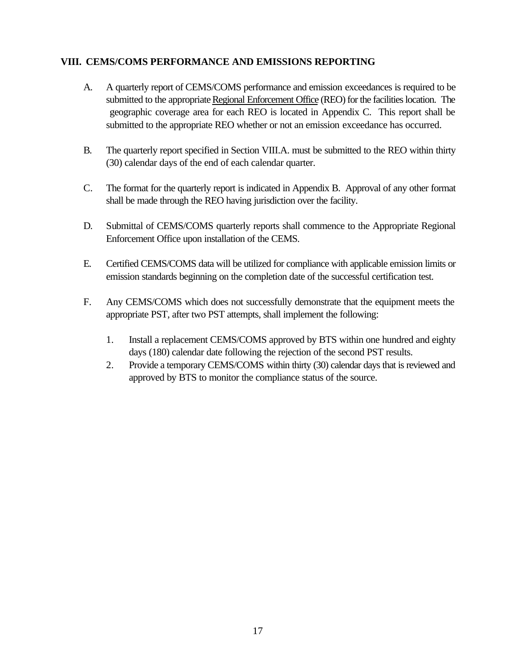#### **VIII. CEMS/COMS PERFORMANCE AND EMISSIONS REPORTING**

- A. A quarterly report of CEMS/COMS performance and emission exceedances is required to be submitted to the appropriate Regional Enforcement Office (REO) for the facilities location. The geographic coverage area for each REO is located in Appendix C. This report shall be submitted to the appropriate REO whether or not an emission exceedance has occurred.
- B. The quarterly report specified in Section VIII.A. must be submitted to the REO within thirty (30) calendar days of the end of each calendar quarter.
- C. The format for the quarterly report is indicated in Appendix B. Approval of any other format shall be made through the REO having jurisdiction over the facility.
- D. Submittal of CEMS/COMS quarterly reports shall commence to the Appropriate Regional Enforcement Office upon installation of the CEMS.
- E. Certified CEMS/COMS data will be utilized for compliance with applicable emission limits or emission standards beginning on the completion date of the successful certification test.
- F. Any CEMS/COMS which does not successfully demonstrate that the equipment meets the appropriate PST, after two PST attempts, shall implement the following:
	- 1. Install a replacement CEMS/COMS approved by BTS within one hundred and eighty days (180) calendar date following the rejection of the second PST results.
	- 2. Provide a temporary CEMS/COMS within thirty (30) calendar days that is reviewed and approved by BTS to monitor the compliance status of the source.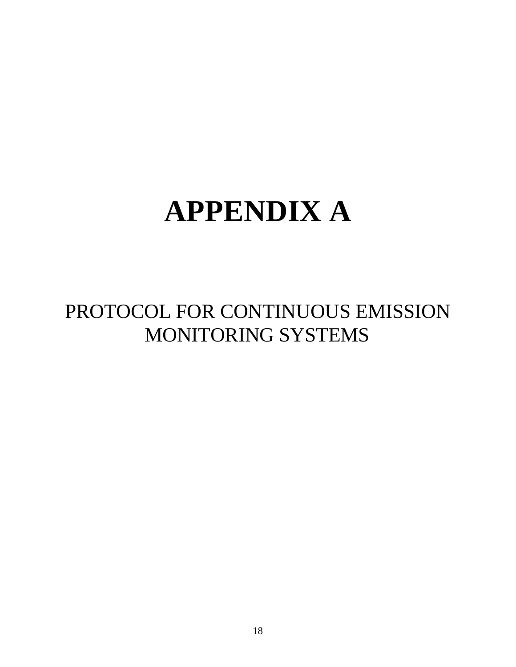# **APPENDIX A**

## PROTOCOL FOR CONTINUOUS EMISSION MONITORING SYSTEMS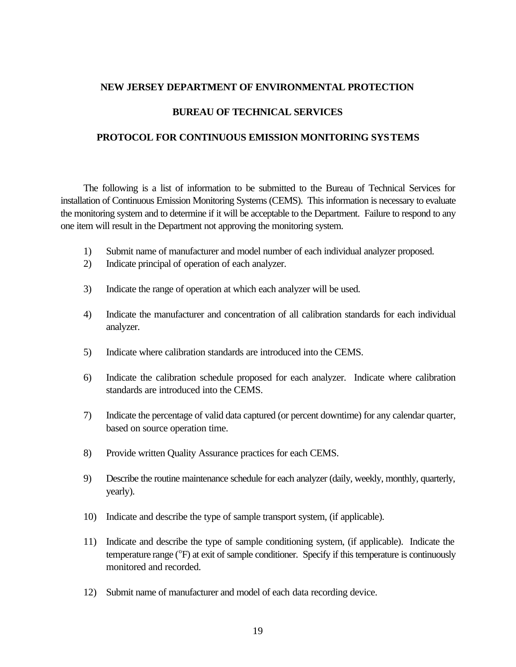#### **NEW JERSEY DEPARTMENT OF ENVIRONMENTAL PROTECTION**

#### **BUREAU OF TECHNICAL SERVICES**

#### **PROTOCOL FOR CONTINUOUS EMISSION MONITORING SYSTEMS**

The following is a list of information to be submitted to the Bureau of Technical Services for installation of Continuous Emission Monitoring Systems (CEMS). This information is necessary to evaluate the monitoring system and to determine if it will be acceptable to the Department. Failure to respond to any one item will result in the Department not approving the monitoring system.

- 1) Submit name of manufacturer and model number of each individual analyzer proposed.
- 2) Indicate principal of operation of each analyzer.
- 3) Indicate the range of operation at which each analyzer will be used.
- 4) Indicate the manufacturer and concentration of all calibration standards for each individual analyzer.
- 5) Indicate where calibration standards are introduced into the CEMS.
- 6) Indicate the calibration schedule proposed for each analyzer. Indicate where calibration standards are introduced into the CEMS.
- 7) Indicate the percentage of valid data captured (or percent downtime) for any calendar quarter, based on source operation time.
- 8) Provide written Quality Assurance practices for each CEMS.
- 9) Describe the routine maintenance schedule for each analyzer (daily, weekly, monthly, quarterly, yearly).
- 10) Indicate and describe the type of sample transport system, (if applicable).
- 11) Indicate and describe the type of sample conditioning system, (if applicable). Indicate the temperature range (°F) at exit of sample conditioner. Specify if this temperature is continuously monitored and recorded.
- 12) Submit name of manufacturer and model of each data recording device.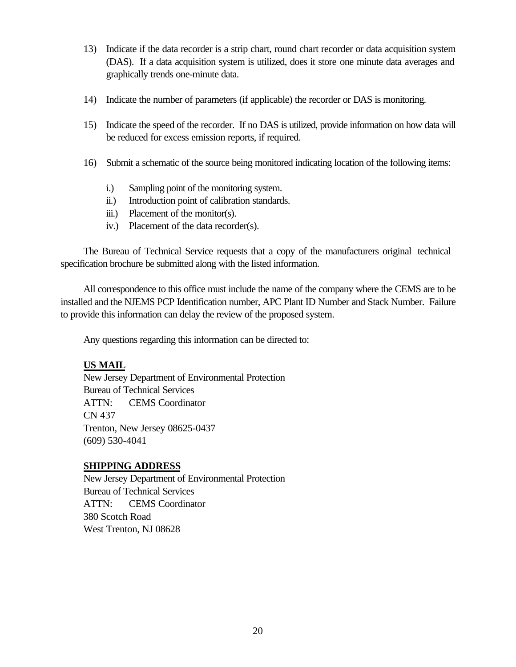- 13) Indicate if the data recorder is a strip chart, round chart recorder or data acquisition system (DAS). If a data acquisition system is utilized, does it store one minute data averages and graphically trends one-minute data.
- 14) Indicate the number of parameters (if applicable) the recorder or DAS is monitoring.
- 15) Indicate the speed of the recorder. If no DAS is utilized, provide information on how data will be reduced for excess emission reports, if required.
- 16) Submit a schematic of the source being monitored indicating location of the following items:
	- i.) Sampling point of the monitoring system.
	- ii.) Introduction point of calibration standards.
	- iii.) Placement of the monitor(s).
	- iv.) Placement of the data recorder(s).

The Bureau of Technical Service requests that a copy of the manufacturers original technical specification brochure be submitted along with the listed information.

All correspondence to this office must include the name of the company where the CEMS are to be installed and the NJEMS PCP Identification number, APC Plant ID Number and Stack Number. Failure to provide this information can delay the review of the proposed system.

Any questions regarding this information can be directed to:

#### **US MAIL**

New Jersey Department of Environmental Protection Bureau of Technical Services ATTN: CEMS Coordinator CN 437 Trenton, New Jersey 08625-0437 (609) 530-4041

#### **SHIPPING ADDRESS**

New Jersey Department of Environmental Protection Bureau of Technical Services ATTN: CEMS Coordinator 380 Scotch Road West Trenton, NJ 08628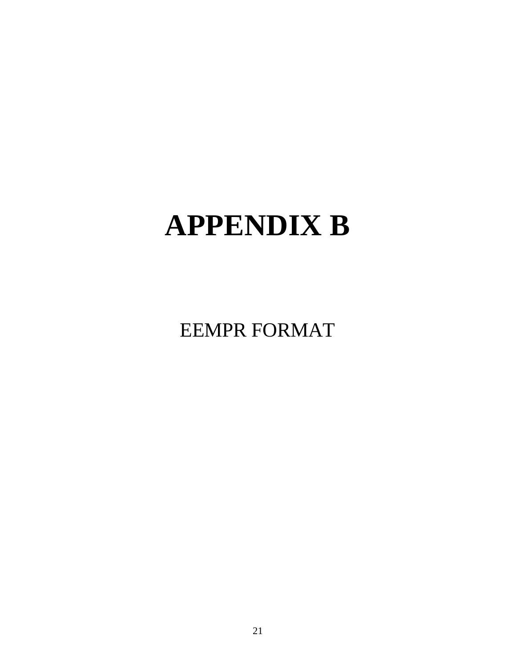# **APPENDIX B**

EEMPR FORMAT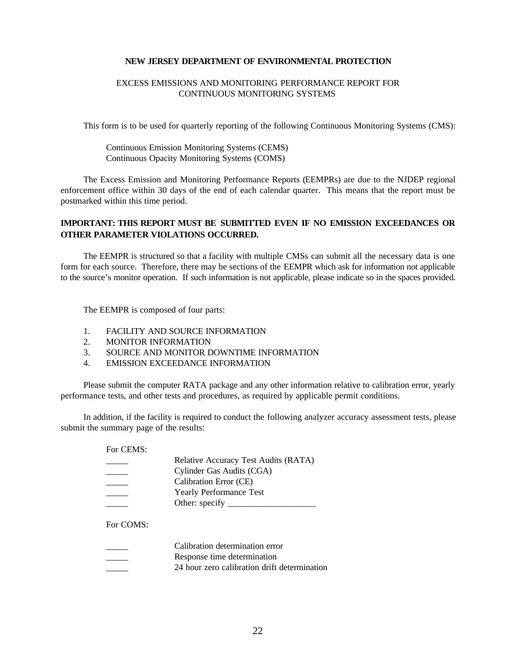#### **NEW JERSEY DEPARTMENT OF ENVIRONMENTAL PROTECTION**

#### EXCESS EMISSIONS AND MONITORING PERFORMANCE REPORT FOR CONTINUOUS MONITORING SYSTEMS

This form is to be used for quarterly reporting of the following Continuous Monitoring Systems (CMS):

Continuous Emission Monitoring Systems (CEMS) Continuous Opacity Monitoring Systems (COMS)

The Excess Emission and Monitoring Performance Reports (EEMPRs) are due to the NJDEP regional enforcement office within 30 days of the end of each calendar quarter. This means that the report must be postmarked within this time period.

#### **IMPORTANT: THIS REPORT MUST BE SUBMITTED EVEN IF NO EMISSION EXCEEDANCES OR OTHER PARAMETER VIOLATIONS OCCURRED.**

The EEMPR is structured so that a facility with multiple CMSs can submit all the necessary data is one form for each source. Therefore, there may be sections of the EEMPR which ask for information not applicable to the source's monitor operation. If such information is not applicable, please indicate so in the spaces provided.

The EEMPR is composed of four parts:

- 1. FACILITY AND SOURCE INFORMATION
- 2. MONITOR INFORMATION
- 3. SOURCE AND MONITOR DOWNTIME INFORMATION
- 4. EMISSION EXCEEDANCE INFORMATION

Please submit the computer RATA package and any other information relative to calibration error, yearly performance tests, and other tests and procedures, as required by applicable permit conditions.

In addition, if the facility is required to conduct the following analyzer accuracy assessment tests, please submit the summary page of the results:

For CEMS:

| Relative Accuracy Test Audits (RATA) |
|--------------------------------------|
| Cylinder Gas Audits (CGA)            |
| Calibration Error (CE)               |
| <b>Yearly Performance Test</b>       |
| Other: $specify$                     |

For COMS:

| Calibration determination error              |
|----------------------------------------------|
| Response time determination                  |
| 24 hour zero calibration drift determination |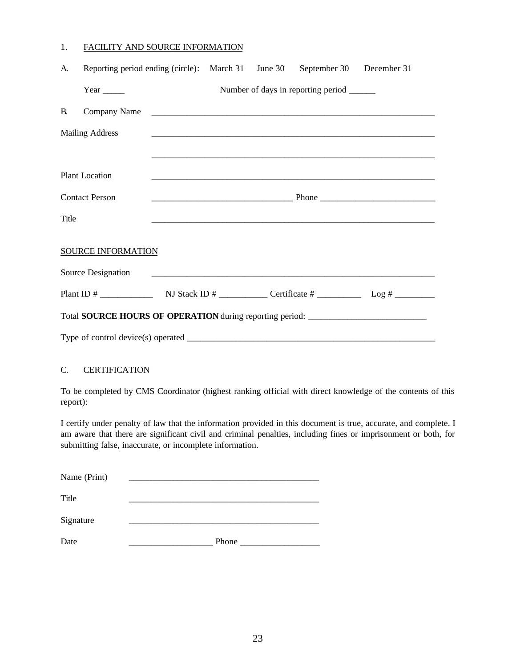#### 1. FACILITY AND SOURCE INFORMATION

| A.                                                                               | Reporting period ending (circle): March 31 June 30 September 30 December 31 |                                                                                                                       |  |  |                                             |  |
|----------------------------------------------------------------------------------|-----------------------------------------------------------------------------|-----------------------------------------------------------------------------------------------------------------------|--|--|---------------------------------------------|--|
|                                                                                  | Year $\_\_\_\_\_\_\_\$                                                      |                                                                                                                       |  |  | Number of days in reporting period ________ |  |
| <b>B.</b>                                                                        | Company Name                                                                |                                                                                                                       |  |  |                                             |  |
|                                                                                  | <b>Mailing Address</b>                                                      |                                                                                                                       |  |  |                                             |  |
|                                                                                  |                                                                             |                                                                                                                       |  |  |                                             |  |
|                                                                                  | <b>Plant Location</b>                                                       |                                                                                                                       |  |  |                                             |  |
|                                                                                  | <b>Contact Person</b>                                                       |                                                                                                                       |  |  |                                             |  |
| Title                                                                            |                                                                             |                                                                                                                       |  |  |                                             |  |
|                                                                                  | SOURCE INFORMATION                                                          |                                                                                                                       |  |  |                                             |  |
|                                                                                  | Source Designation                                                          | <u> 1980 - Johann Barn, mars ann an t-Amhain ann an t-Amhain an t-Amhain ann an t-Amhain an t-Amhain ann an t-Amh</u> |  |  |                                             |  |
|                                                                                  |                                                                             |                                                                                                                       |  |  |                                             |  |
| Total SOURCE HOURS OF OPERATION during reporting period: _______________________ |                                                                             |                                                                                                                       |  |  |                                             |  |
|                                                                                  |                                                                             |                                                                                                                       |  |  |                                             |  |

#### C. CERTIFICATION

To be completed by CMS Coordinator (highest ranking official with direct knowledge of the contents of this report):

I certify under penalty of law that the information provided in this document is true, accurate, and complete. I am aware that there are significant civil and criminal penalties, including fines or imprisonment or both, for submitting false, inaccurate, or incomplete information.

| Name (Print) |       |
|--------------|-------|
| Title        |       |
| Signature    |       |
| Date         | Phone |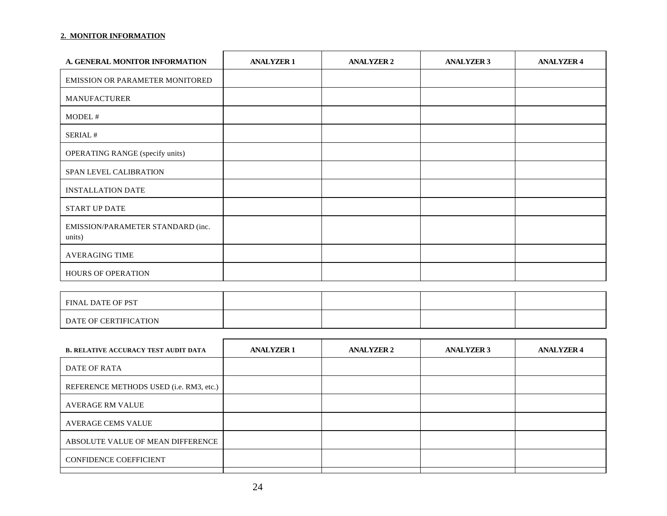#### **2. MONITOR INFORMATION**

| A. GENERAL MONITOR INFORMATION              | <b>ANALYZER 1</b> | <b>ANALYZER 2</b> | <b>ANALYZER 3</b> | <b>ANALYZER 4</b> |
|---------------------------------------------|-------------------|-------------------|-------------------|-------------------|
| EMISSION OR PARAMETER MONITORED             |                   |                   |                   |                   |
| <b>MANUFACTURER</b>                         |                   |                   |                   |                   |
| MODEL#                                      |                   |                   |                   |                   |
| SERIAL#                                     |                   |                   |                   |                   |
| OPERATING RANGE (specify units)             |                   |                   |                   |                   |
| SPAN LEVEL CALIBRATION                      |                   |                   |                   |                   |
| <b>INSTALLATION DATE</b>                    |                   |                   |                   |                   |
| START UP DATE                               |                   |                   |                   |                   |
| EMISSION/PARAMETER STANDARD (inc.<br>units) |                   |                   |                   |                   |
| <b>AVERAGING TIME</b>                       |                   |                   |                   |                   |
| HOURS OF OPERATION                          |                   |                   |                   |                   |

| <b>FINAL DATE OF PST</b> |  |  |
|--------------------------|--|--|
| DATE OF CERTIFICATION    |  |  |

| <b>ANALYZER 1</b> | <b>ANALYZER 2</b> | <b>ANALYZER 3</b> | <b>ANALYZER 4</b> |
|-------------------|-------------------|-------------------|-------------------|
|                   |                   |                   |                   |
|                   |                   |                   |                   |
|                   |                   |                   |                   |
|                   |                   |                   |                   |
|                   |                   |                   |                   |
|                   |                   |                   |                   |
|                   |                   |                   |                   |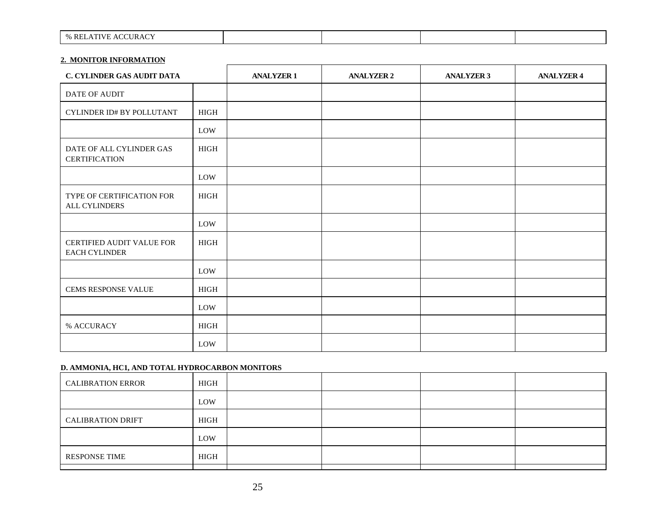| <b>S RELATIVE ACCURACY</b> |  |  |
|----------------------------|--|--|

#### **2. MONITOR INFORMATION**

| <b>C. CYLINDER GAS AUDIT DATA</b>                |             | <b>ANALYZER 1</b> | <b>ANALYZER 2</b> | <b>ANALYZER 3</b> | <b>ANALYZER 4</b> |
|--------------------------------------------------|-------------|-------------------|-------------------|-------------------|-------------------|
| DATE OF AUDIT                                    |             |                   |                   |                   |                   |
| CYLINDER ID# BY POLLUTANT                        | <b>HIGH</b> |                   |                   |                   |                   |
|                                                  | LOW         |                   |                   |                   |                   |
| DATE OF ALL CYLINDER GAS<br><b>CERTIFICATION</b> | <b>HIGH</b> |                   |                   |                   |                   |
|                                                  | LOW         |                   |                   |                   |                   |
| TYPE OF CERTIFICATION FOR<br>ALL CYLINDERS       | <b>HIGH</b> |                   |                   |                   |                   |
|                                                  | LOW         |                   |                   |                   |                   |
| CERTIFIED AUDIT VALUE FOR<br>EACH CYLINDER       | HIGH        |                   |                   |                   |                   |
|                                                  | LOW         |                   |                   |                   |                   |
| CEMS RESPONSE VALUE                              | <b>HIGH</b> |                   |                   |                   |                   |
|                                                  | LOW         |                   |                   |                   |                   |
| % ACCURACY                                       | HIGH        |                   |                   |                   |                   |
|                                                  | LOW         |                   |                   |                   |                   |

#### **D. AMMONIA, HC1, AND TOTAL HYDROCARBON MONITORS**

| <b>CALIBRATION ERROR</b> | HIGH |  |  |
|--------------------------|------|--|--|
|                          | LOW  |  |  |
| <b>CALIBRATION DRIFT</b> | HIGH |  |  |
|                          | LOW  |  |  |
| <b>RESPONSE TIME</b>     | HIGH |  |  |
|                          |      |  |  |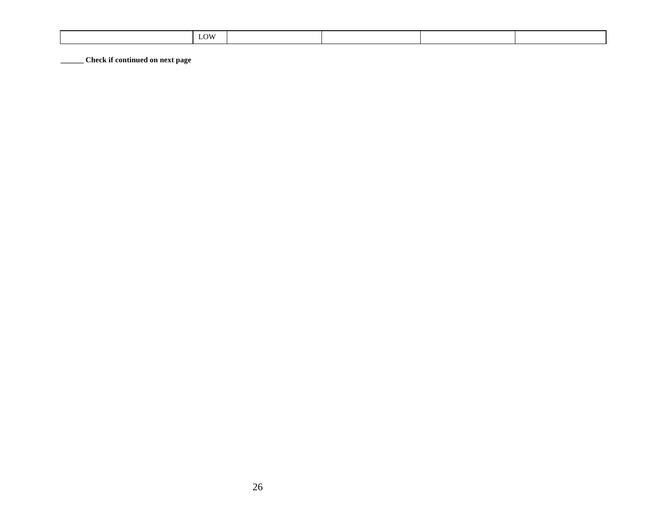| LOW |  |
|-----|--|
|-----|--|

**\_\_\_\_\_\_ Check if continued on next page**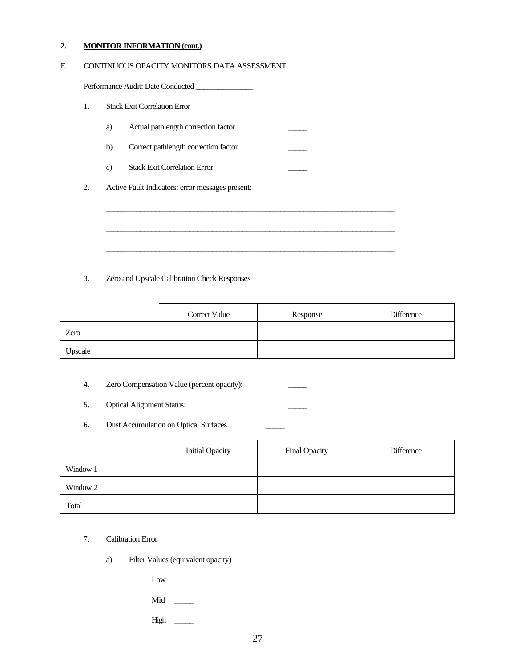#### **2. MONITOR INFORMATION (cont.)**

#### E. CONTINUOUS OPACITY MONITORS DATA ASSESSMENT

Performance Audit: Date Conducted \_\_\_\_\_\_\_\_\_\_\_\_\_\_\_

#### 1. Stack Exit Correlation Error

- a) Actual pathlength correction factor
- b) Correct pathlength correction factor
- c) Stack Exit Correlation Error
- 2. Active Fault Indicators: error messages present:

#### 3. Zero and Upscale Calibration Check Responses

|         | Correct Value | Response | Difference |
|---------|---------------|----------|------------|
| Zero    |               |          |            |
| Upscale |               |          |            |

\_\_\_\_\_\_\_\_\_\_\_\_\_\_\_\_\_\_\_\_\_\_\_\_\_\_\_\_\_\_\_\_\_\_\_\_\_\_\_\_\_\_\_\_\_\_\_\_\_\_\_\_\_\_\_\_\_\_\_\_\_\_\_\_\_\_\_\_\_\_\_\_\_\_\_\_

\_\_\_\_\_\_\_\_\_\_\_\_\_\_\_\_\_\_\_\_\_\_\_\_\_\_\_\_\_\_\_\_\_\_\_\_\_\_\_\_\_\_\_\_\_\_\_\_\_\_\_\_\_\_\_\_\_\_\_\_\_\_\_\_\_\_\_\_\_\_\_\_\_\_\_\_

\_\_\_\_\_\_\_\_\_\_\_\_\_\_\_\_\_\_\_\_\_\_\_\_\_\_\_\_\_\_\_\_\_\_\_\_\_\_\_\_\_\_\_\_\_\_\_\_\_\_\_\_\_\_\_\_\_\_\_\_\_\_\_\_\_\_\_\_\_\_\_\_\_\_\_\_

- 4. Zero Compensation Value (percent opacity):
- 5. Optical Alignment Status:
- 6. Dust Accumulation on Optical Surfaces \_\_\_\_\_

|          | <b>Initial Opacity</b> | Final Opacity | <b>Difference</b> |
|----------|------------------------|---------------|-------------------|
| Window 1 |                        |               |                   |
| Window 2 |                        |               |                   |
| Total    |                        |               |                   |

- 7. Calibration Error
	- a) Filter Values (equivalent opacity)

 $Low \quad \_\_$ 

Mid \_\_\_\_\_

 $High$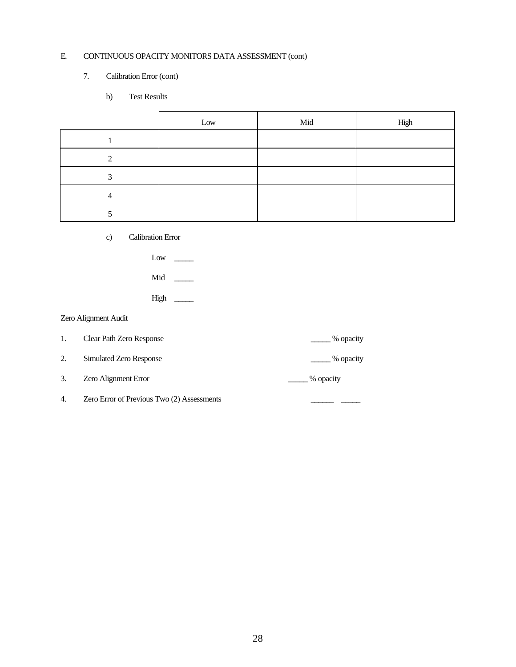#### E. CONTINUOUS OPACITY MONITORS DATA ASSESSMENT (cont)

#### 7. Calibration Error (cont)

b) Test Results

|   | Low | Mid | High |
|---|-----|-----|------|
|   |     |     |      |
|   |     |     |      |
| ◠ |     |     |      |
|   |     |     |      |
|   |     |     |      |

c) Calibration Error

| LOW |  |
|-----|--|
|     |  |

- Mid \_\_\_\_\_
- High \_\_\_\_\_

#### Zero Alignment Audit

1. Clear Path Zero Response \_\_\_\_\_ % opacity

2. Simulated Zero Response 2. See Section 2. 2. Simulated Zero Response

- 3. Zero Alignment Error  $\qquad \qquad \qquad \qquad \qquad \qquad \qquad \qquad \text{\textdegree\textdegree}$  % opacity
- 4. Zero Error of Previous Two (2) Assessments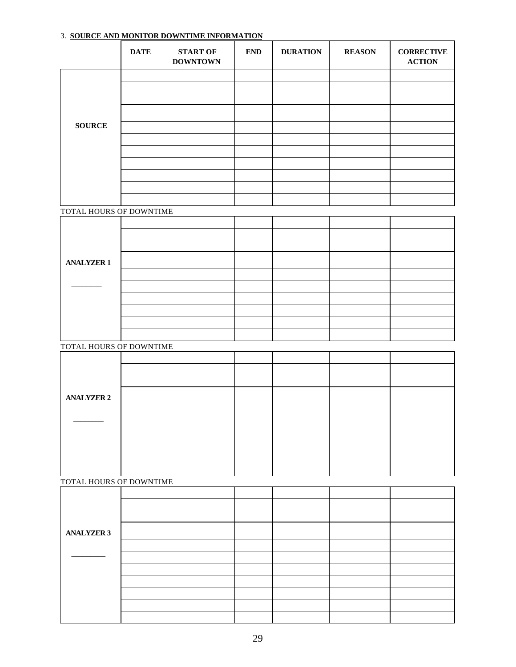# **DATE START OF DOWNTOWN END DURATION REASON CORRECTIVE ACTION SOURCE** TOTAL HOURS OF DOWNTIME **ANALYZER 1**  $\frac{1}{2}$ TOTAL HOURS OF DOWNTIME **ANALYZER 2**  $\frac{1}{2}$ TOTAL HOURS OF DOWNTIME **ANALYZER 3**  $\overline{\phantom{a}}$

#### 3. **SOURCE AND MONITOR DOWNTIME INFORMATION**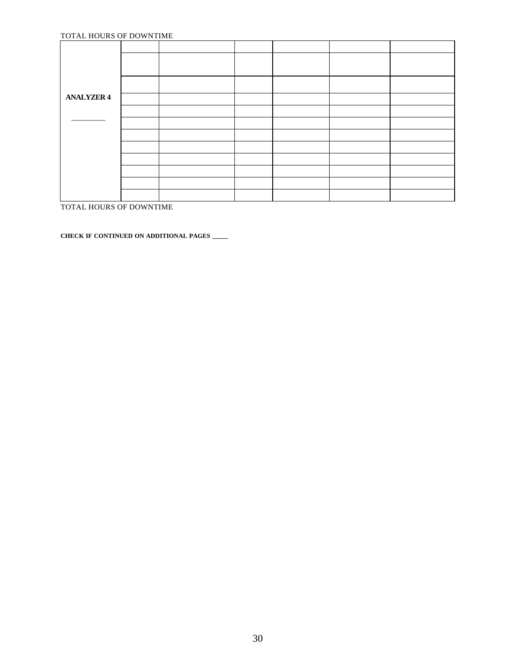#### TOTAL HOURS OF DOWNTIME

| <b>ANALYZER 4</b> |  |  |  |
|-------------------|--|--|--|
|                   |  |  |  |
|                   |  |  |  |
|                   |  |  |  |
|                   |  |  |  |
|                   |  |  |  |
|                   |  |  |  |
|                   |  |  |  |
|                   |  |  |  |

TOTAL HOURS OF DOWNTIME

**CHECK IF CONTINUED ON ADDITIONAL PAGES \_\_\_\_\_**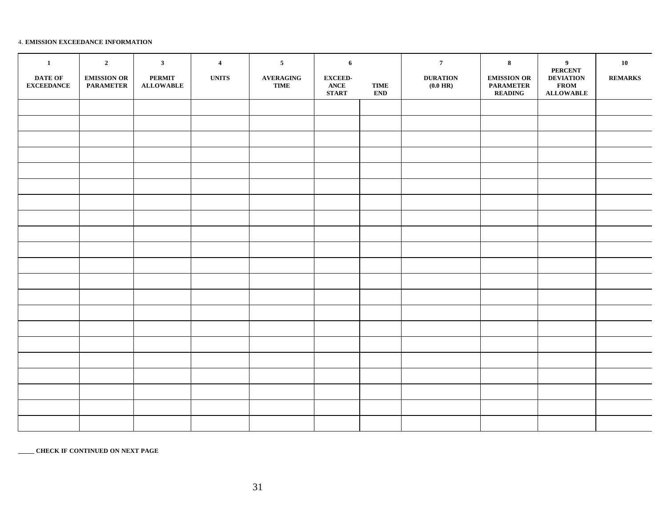#### 4. **EMISSION EXCEEDANCE INFORMATION**

| $\mathbf{1}$<br><b>DATE OF</b><br><b>EXCEEDANCE</b> | $\overline{2}$<br><b>EMISSION OR</b><br><b>PARAMETER</b> | $\mathbf{3}$<br><b>PERMIT</b><br><b>ALLOWABLE</b> | $\overline{4}$<br><b>UNITS</b> | $5\phantom{.0}$<br><b>AVERAGING</b><br><b>TIME</b> | $6\phantom{.}6$<br><b>EXCEED-</b><br><b>ANCE</b><br><b>START</b> | <b>TIME</b><br><b>END</b> | $7\phantom{.0}$<br><b>DURATION</b><br>$(0.0 \text{ HR})$ | $\bf{8}$<br><b>EMISSION OR</b><br><b>PARAMETER</b><br><b>READING</b> | 9<br><b>PERCENT</b><br><b>DEVIATION</b><br><b>FROM</b><br><b>ALLOWABLE</b> | ${\bf 10}$<br><b>REMARKS</b> |
|-----------------------------------------------------|----------------------------------------------------------|---------------------------------------------------|--------------------------------|----------------------------------------------------|------------------------------------------------------------------|---------------------------|----------------------------------------------------------|----------------------------------------------------------------------|----------------------------------------------------------------------------|------------------------------|
|                                                     |                                                          |                                                   |                                |                                                    |                                                                  |                           |                                                          |                                                                      |                                                                            |                              |
|                                                     |                                                          |                                                   |                                |                                                    |                                                                  |                           |                                                          |                                                                      |                                                                            |                              |
|                                                     |                                                          |                                                   |                                |                                                    |                                                                  |                           |                                                          |                                                                      |                                                                            |                              |
|                                                     |                                                          |                                                   |                                |                                                    |                                                                  |                           |                                                          |                                                                      |                                                                            |                              |
|                                                     |                                                          |                                                   |                                |                                                    |                                                                  |                           |                                                          |                                                                      |                                                                            |                              |
|                                                     |                                                          |                                                   |                                |                                                    |                                                                  |                           |                                                          |                                                                      |                                                                            |                              |
|                                                     |                                                          |                                                   |                                |                                                    |                                                                  |                           |                                                          |                                                                      |                                                                            |                              |
|                                                     |                                                          |                                                   |                                |                                                    |                                                                  |                           |                                                          |                                                                      |                                                                            |                              |
|                                                     |                                                          |                                                   |                                |                                                    |                                                                  |                           |                                                          |                                                                      |                                                                            |                              |
|                                                     |                                                          |                                                   |                                |                                                    |                                                                  |                           |                                                          |                                                                      |                                                                            |                              |
|                                                     |                                                          |                                                   |                                |                                                    |                                                                  |                           |                                                          |                                                                      |                                                                            |                              |
|                                                     |                                                          |                                                   |                                |                                                    |                                                                  |                           |                                                          |                                                                      |                                                                            |                              |
|                                                     |                                                          |                                                   |                                |                                                    |                                                                  |                           |                                                          |                                                                      |                                                                            |                              |
|                                                     |                                                          |                                                   |                                |                                                    |                                                                  |                           |                                                          |                                                                      |                                                                            |                              |
|                                                     |                                                          |                                                   |                                |                                                    |                                                                  |                           |                                                          |                                                                      |                                                                            |                              |
|                                                     |                                                          |                                                   |                                |                                                    |                                                                  |                           |                                                          |                                                                      |                                                                            |                              |
|                                                     |                                                          |                                                   |                                |                                                    |                                                                  |                           |                                                          |                                                                      |                                                                            |                              |
|                                                     |                                                          |                                                   |                                |                                                    |                                                                  |                           |                                                          |                                                                      |                                                                            |                              |
|                                                     |                                                          |                                                   |                                |                                                    |                                                                  |                           |                                                          |                                                                      |                                                                            |                              |
|                                                     |                                                          |                                                   |                                |                                                    |                                                                  |                           |                                                          |                                                                      |                                                                            |                              |
|                                                     |                                                          |                                                   |                                |                                                    |                                                                  |                           |                                                          |                                                                      |                                                                            |                              |

**\_\_\_\_\_ CHECK IF CONTINUED ON NEXT PAGE**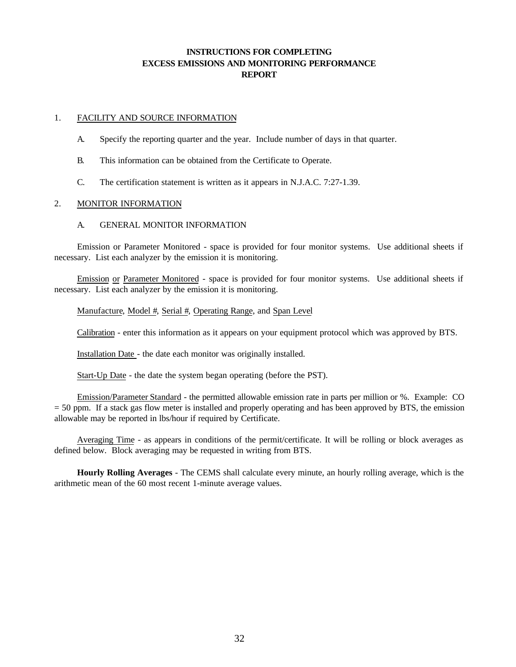#### **INSTRUCTIONS FOR COMPLETING EXCESS EMISSIONS AND MONITORING PERFORMANCE REPORT**

#### 1. FACILITY AND SOURCE INFORMATION

- A. Specify the reporting quarter and the year. Include number of days in that quarter.
- B. This information can be obtained from the Certificate to Operate.
- C. The certification statement is written as it appears in N.J.A.C. 7:27-1.39.

#### 2. MONITOR INFORMATION

#### A. GENERAL MONITOR INFORMATION

Emission or Parameter Monitored - space is provided for four monitor systems. Use additional sheets if necessary. List each analyzer by the emission it is monitoring.

Emission or Parameter Monitored - space is provided for four monitor systems. Use additional sheets if necessary. List each analyzer by the emission it is monitoring.

#### Manufacture, Model #, Serial #, Operating Range, and Span Level

Calibration - enter this information as it appears on your equipment protocol which was approved by BTS.

Installation Date - the date each monitor was originally installed.

Start-Up Date - the date the system began operating (before the PST).

Emission/Parameter Standard - the permitted allowable emission rate in parts per million or %. Example: CO = 50 ppm. If a stack gas flow meter is installed and properly operating and has been approved by BTS, the emission allowable may be reported in lbs/hour if required by Certificate.

Averaging Time - as appears in conditions of the permit/certificate. It will be rolling or block averages as defined below. Block averaging may be requested in writing from BTS.

**Hourly Rolling Averages** - The CEMS shall calculate every minute, an hourly rolling average, which is the arithmetic mean of the 60 most recent 1-minute average values.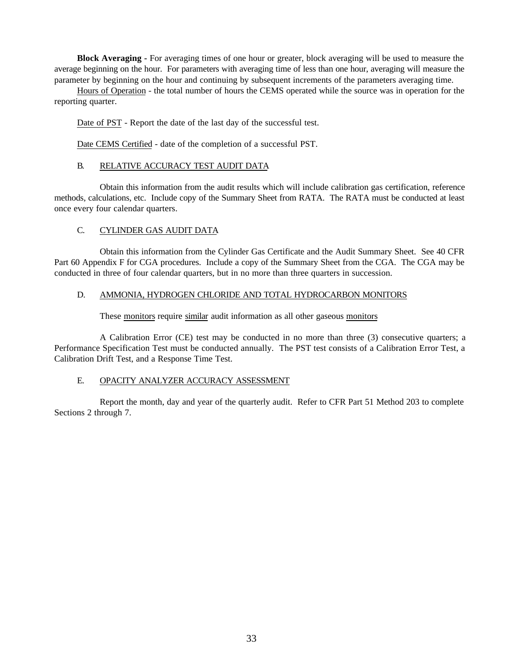**Block Averaging -** For averaging times of one hour or greater, block averaging will be used to measure the average beginning on the hour. For parameters with averaging time of less than one hour, averaging will measure the parameter by beginning on the hour and continuing by subsequent increments of the parameters averaging time.

Hours of Operation - the total number of hours the CEMS operated while the source was in operation for the reporting quarter.

Date of PST - Report the date of the last day of the successful test.

Date CEMS Certified - date of the completion of a successful PST.

#### B. RELATIVE ACCURACY TEST AUDIT DATA

Obtain this information from the audit results which will include calibration gas certification, reference methods, calculations, etc. Include copy of the Summary Sheet from RATA. The RATA must be conducted at least once every four calendar quarters.

#### C. CYLINDER GAS AUDIT DATA

Obtain this information from the Cylinder Gas Certificate and the Audit Summary Sheet. See 40 CFR Part 60 Appendix F for CGA procedures. Include a copy of the Summary Sheet from the CGA. The CGA may be conducted in three of four calendar quarters, but in no more than three quarters in succession.

#### D. AMMONIA, HYDROGEN CHLORIDE AND TOTAL HYDROCARBON MONITORS

These monitors require similar audit information as all other gaseous monitors

A Calibration Error (CE) test may be conducted in no more than three (3) consecutive quarters; a Performance Specification Test must be conducted annually. The PST test consists of a Calibration Error Test, a Calibration Drift Test, and a Response Time Test.

#### E. OPACITY ANALYZER ACCURACY ASSESSMENT

Report the month, day and year of the quarterly audit. Refer to CFR Part 51 Method 203 to complete Sections 2 through 7.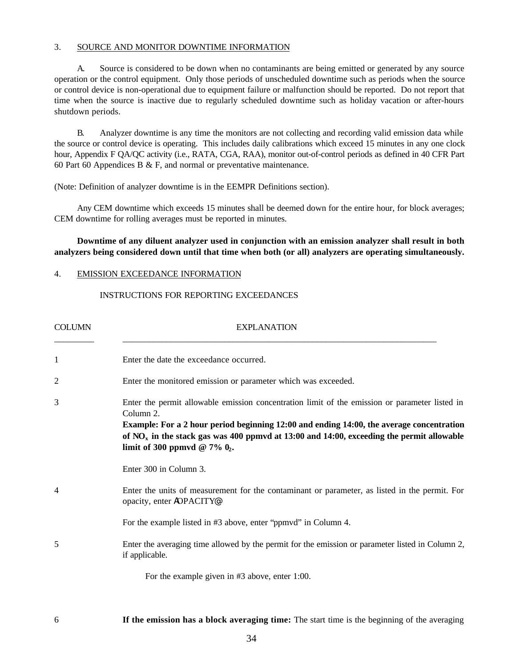#### 3. SOURCE AND MONITOR DOWNTIME INFORMATION

A. Source is considered to be down when no contaminants are being emitted or generated by any source operation or the control equipment. Only those periods of unscheduled downtime such as periods when the source or control device is non-operational due to equipment failure or malfunction should be reported. Do not report that time when the source is inactive due to regularly scheduled downtime such as holiday vacation or after-hours shutdown periods.

B. Analyzer downtime is any time the monitors are not collecting and recording valid emission data while the source or control device is operating. This includes daily calibrations which exceed 15 minutes in any one clock hour, Appendix F QA/QC activity (i.e., RATA, CGA, RAA), monitor out-of-control periods as defined in 40 CFR Part 60 Part 60 Appendices B  $\&$  F, and normal or preventative maintenance.

(Note: Definition of analyzer downtime is in the EEMPR Definitions section).

Any CEM downtime which exceeds 15 minutes shall be deemed down for the entire hour, for block averages; CEM downtime for rolling averages must be reported in minutes.

**Downtime of any diluent analyzer used in conjunction with an emission analyzer shall result in both analyzers being considered down until that time when both (or all) analyzers are operating simultaneously.**

#### 4. EMISSION EXCEEDANCE INFORMATION

#### INSTRUCTIONS FOR REPORTING EXCEEDANCES

| <b>COLUMN</b>  | <b>EXPLANATION</b>                                                                                                                                                                                                                                                                                                                        |  |  |  |
|----------------|-------------------------------------------------------------------------------------------------------------------------------------------------------------------------------------------------------------------------------------------------------------------------------------------------------------------------------------------|--|--|--|
| 1              | Enter the date the exceedance occurred.                                                                                                                                                                                                                                                                                                   |  |  |  |
| 2              | Enter the monitored emission or parameter which was exceeded.                                                                                                                                                                                                                                                                             |  |  |  |
| 3              | Enter the permit allowable emission concentration limit of the emission or parameter listed in<br>Column 2.<br>Example: For a 2 hour period beginning 12:00 and ending 14:00, the average concentration<br>of $NO_x$ in the stack gas was 400 ppmvd at 13:00 and 14:00, exceeding the permit allowable<br>limit of 300 ppmvd @ 7% $0_2$ . |  |  |  |
|                | Enter 300 in Column 3.                                                                                                                                                                                                                                                                                                                    |  |  |  |
| $\overline{4}$ | Enter the units of measurement for the contaminant or parameter, as listed in the permit. For<br>opacity, enter AOPACITY®.                                                                                                                                                                                                                |  |  |  |
|                | For the example listed in #3 above, enter "ppmvd" in Column 4.                                                                                                                                                                                                                                                                            |  |  |  |
| 5              | Enter the averaging time allowed by the permit for the emission or parameter listed in Column 2,<br>if applicable.                                                                                                                                                                                                                        |  |  |  |
|                | For the example given in $#3$ above, enter 1:00.                                                                                                                                                                                                                                                                                          |  |  |  |

6 **If the emission has a block averaging time:** The start time is the beginning of the averaging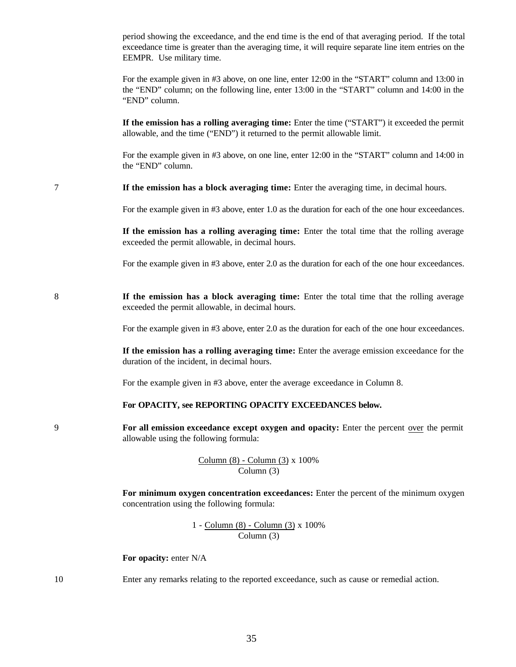period showing the exceedance, and the end time is the end of that averaging period. If the total exceedance time is greater than the averaging time, it will require separate line item entries on the EEMPR. Use military time.

For the example given in #3 above, on one line, enter 12:00 in the "START" column and 13:00 in the "END" column; on the following line, enter 13:00 in the "START" column and 14:00 in the "END" column.

**If the emission has a rolling averaging time:** Enter the time ("START") it exceeded the permit allowable, and the time ("END") it returned to the permit allowable limit.

For the example given in #3 above, on one line, enter 12:00 in the "START" column and 14:00 in the "END" column.

7 **If the emission has a block averaging time:** Enter the averaging time, in decimal hours.

For the example given in #3 above, enter 1.0 as the duration for each of the one hour exceedances.

**If the emission has a rolling averaging time:** Enter the total time that the rolling average exceeded the permit allowable, in decimal hours.

For the example given in #3 above, enter 2.0 as the duration for each of the one hour exceedances.

8 **If the emission has a block averaging time:** Enter the total time that the rolling average exceeded the permit allowable, in decimal hours.

For the example given in #3 above, enter 2.0 as the duration for each of the one hour exceedances.

**If the emission has a rolling averaging time:** Enter the average emission exceedance for the duration of the incident, in decimal hours.

For the example given in #3 above, enter the average exceedance in Column 8.

#### **For OPACITY, see REPORTING OPACITY EXCEEDANCES below.**

9 **For all emission exceedance except oxygen and opacity:** Enter the percent over the permit allowable using the following formula:

> Column (8) - Column (3) x 100% Column (3)

**For minimum oxygen concentration exceedances:** Enter the percent of the minimum oxygen concentration using the following formula:

> 1 - Column (8) - Column (3) x 100% Column (3)

**For opacity:** enter N/A

10 Enter any remarks relating to the reported exceedance, such as cause or remedial action.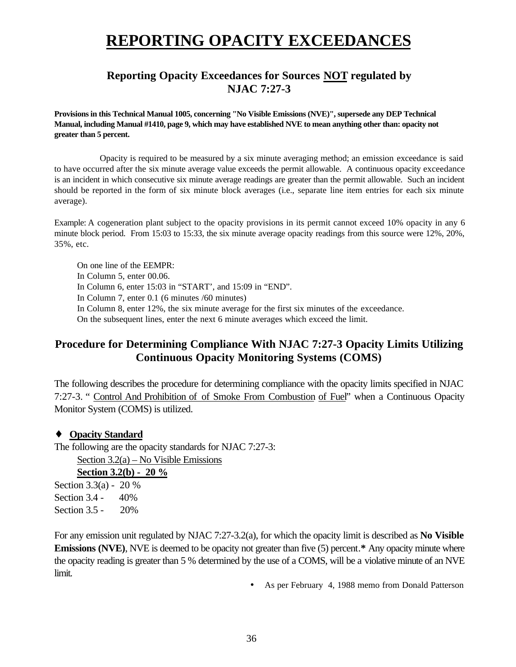### **REPORTING OPACITY EXCEEDANCES**

#### **Reporting Opacity Exceedances for Sources NOT regulated by NJAC 7:27-3**

**Provisions in this Technical Manual 1005, concerning "No Visible Emissions (NVE)", supersede any DEP Technical Manual, including Manual #1410, page 9, which may have established NVE to mean anything other than: opacity not greater than 5 percent.**

Opacity is required to be measured by a six minute averaging method; an emission exceedance is said to have occurred after the six minute average value exceeds the permit allowable. A continuous opacity exceedance is an incident in which consecutive six minute average readings are greater than the permit allowable. Such an incident should be reported in the form of six minute block averages (i.e., separate line item entries for each six minute average).

Example: A cogeneration plant subject to the opacity provisions in its permit cannot exceed 10% opacity in any 6 minute block period. From 15:03 to 15:33, the six minute average opacity readings from this source were 12%, 20%, 35%, etc.

On one line of the EEMPR: In Column 5, enter 00.06. In Column 6, enter 15:03 in "START', and 15:09 in "END". In Column 7, enter 0.1 (6 minutes /60 minutes) In Column 8, enter 12%, the six minute average for the first six minutes of the exceedance. On the subsequent lines, enter the next 6 minute averages which exceed the limit.

#### **Procedure for Determining Compliance With NJAC 7:27-3 Opacity Limits Utilizing Continuous Opacity Monitoring Systems (COMS)**

The following describes the procedure for determining compliance with the opacity limits specified in NJAC 7:27-3. " Control And Prohibition of of Smoke From Combustion of Fuel" when a Continuous Opacity Monitor System (COMS) is utilized.

#### ♦ **Opacity Standard**

The following are the opacity standards for NJAC 7:27-3: Section 3.2(a) – No Visible Emissions **Section 3.2(b) - 20 %** Section 3.3(a) - 20 % Section 3.4 - 40% Section 3.5 - 20%

For any emission unit regulated by NJAC 7:27-3.2(a), for which the opacity limit is described as **No Visible Emissions (NVE)**, NVE is deemed to be opacity not greater than five (5) percent.**\*** Any opacity minute where the opacity reading is greater than 5 % determined by the use of a COMS, will be a violative minute of an NVE limit.

• As per February 4, 1988 memo from Donald Patterson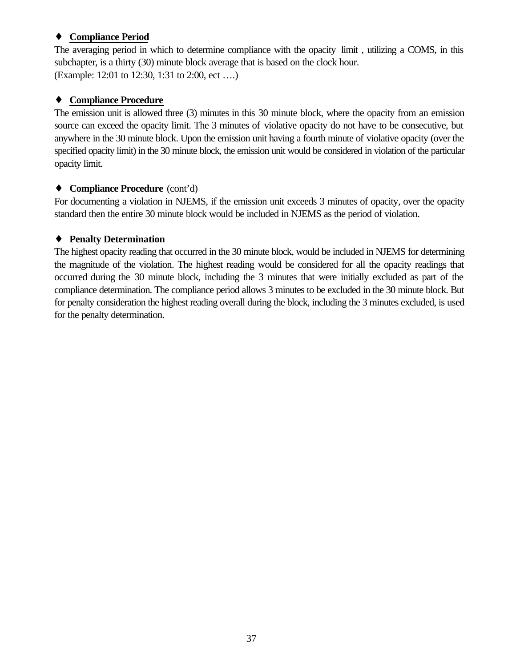#### ♦ **Compliance Period**

The averaging period in which to determine compliance with the opacity limit , utilizing a COMS, in this subchapter, is a thirty (30) minute block average that is based on the clock hour. (Example: 12:01 to 12:30, 1:31 to 2:00, ect ….)

#### ♦ **Compliance Procedure**

The emission unit is allowed three (3) minutes in this 30 minute block, where the opacity from an emission source can exceed the opacity limit. The 3 minutes of violative opacity do not have to be consecutive, but anywhere in the 30 minute block. Upon the emission unit having a fourth minute of violative opacity (over the specified opacity limit) in the 30 minute block, the emission unit would be considered in violation of the particular opacity limit.

#### ♦ **Compliance Procedure** (cont'd)

For documenting a violation in NJEMS, if the emission unit exceeds 3 minutes of opacity, over the opacity standard then the entire 30 minute block would be included in NJEMS as the period of violation.

#### ♦ **Penalty Determination**

The highest opacity reading that occurred in the 30 minute block, would be included in NJEMS for determining the magnitude of the violation. The highest reading would be considered for all the opacity readings that occurred during the 30 minute block, including the 3 minutes that were initially excluded as part of the compliance determination. The compliance period allows 3 minutes to be excluded in the 30 minute block. But for penalty consideration the highest reading overall during the block, including the 3 minutes excluded, is used for the penalty determination.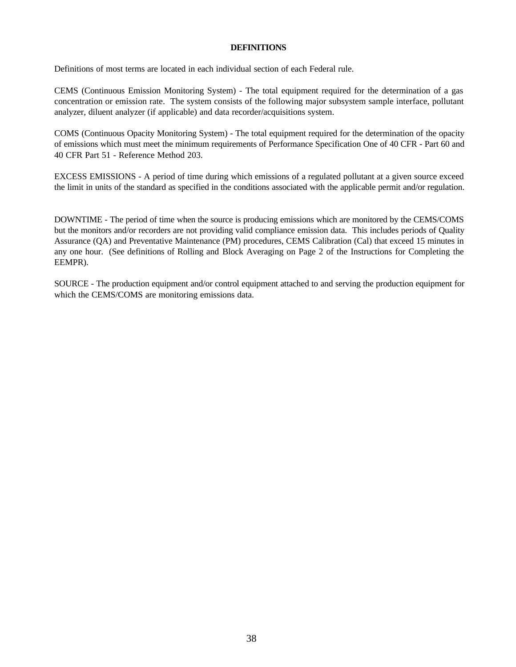#### **DEFINITIONS**

Definitions of most terms are located in each individual section of each Federal rule.

CEMS (Continuous Emission Monitoring System) - The total equipment required for the determination of a gas concentration or emission rate. The system consists of the following major subsystem sample interface, pollutant analyzer, diluent analyzer (if applicable) and data recorder/acquisitions system.

COMS (Continuous Opacity Monitoring System) - The total equipment required for the determination of the opacity of emissions which must meet the minimum requirements of Performance Specification One of 40 CFR - Part 60 and 40 CFR Part 51 - Reference Method 203.

EXCESS EMISSIONS - A period of time during which emissions of a regulated pollutant at a given source exceed the limit in units of the standard as specified in the conditions associated with the applicable permit and/or regulation.

DOWNTIME - The period of time when the source is producing emissions which are monitored by the CEMS/COMS but the monitors and/or recorders are not providing valid compliance emission data. This includes periods of Quality Assurance (QA) and Preventative Maintenance (PM) procedures, CEMS Calibration (Cal) that exceed 15 minutes in any one hour. (See definitions of Rolling and Block Averaging on Page 2 of the Instructions for Completing the EEMPR).

SOURCE - The production equipment and/or control equipment attached to and serving the production equipment for which the CEMS/COMS are monitoring emissions data.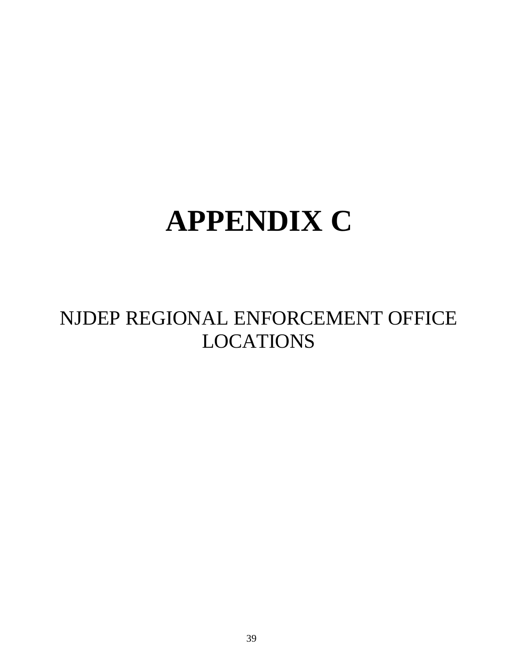# **APPENDIX C**

## NJDEP REGIONAL ENFORCEMENT OFFICE LOCATIONS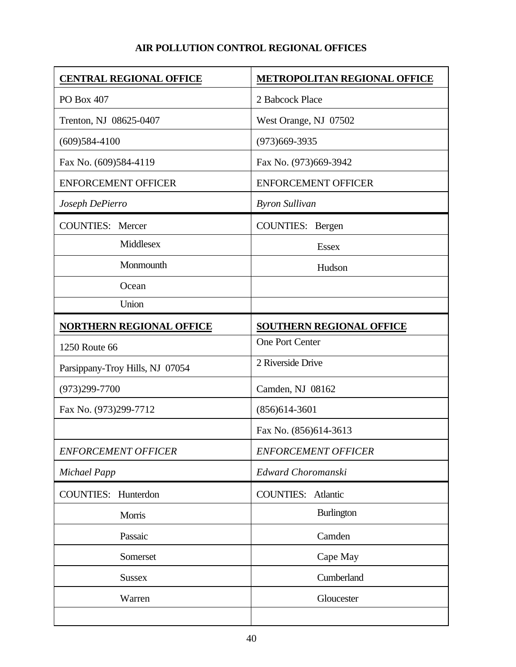#### **AIR POLLUTION CONTROL REGIONAL OFFICES**

| <b>CENTRAL REGIONAL OFFICE</b>  | <b>METROPOLITAN REGIONAL OFFICE</b> |
|---------------------------------|-------------------------------------|
| PO Box 407                      | 2 Babcock Place                     |
| Trenton, NJ 08625-0407          | West Orange, NJ 07502               |
| $(609)584-4100$                 | $(973)669-3935$                     |
| Fax No. (609)584-4119           | Fax No. (973)669-3942               |
| <b>ENFORCEMENT OFFICER</b>      | <b>ENFORCEMENT OFFICER</b>          |
| Joseph DePierro                 | <b>Byron Sullivan</b>               |
| <b>COUNTIES:</b> Mercer         | COUNTIES: Bergen                    |
| Middlesex                       | <b>Essex</b>                        |
| Monmounth                       | Hudson                              |
| Ocean                           |                                     |
| Union                           |                                     |
| <b>NORTHERN REGIONAL OFFICE</b> | <b>SOUTHERN REGIONAL OFFICE</b>     |
| 1250 Route 66                   | One Port Center                     |
| Parsippany-Troy Hills, NJ 07054 | 2 Riverside Drive                   |
| $(973)299 - 7700$               | Camden, NJ 08162                    |
| Fax No. (973)299-7712           | $(856)614-3601$                     |
|                                 | Fax No. (856)614-3613               |
| <b>ENFORCEMENT OFFICER</b>      | <b>ENFORCEMENT OFFICER</b>          |
| <b>Michael Papp</b>             | Edward Choromanski                  |
| COUNTIES: Hunterdon             | <b>COUNTIES:</b> Atlantic           |
| Morris                          | <b>Burlington</b>                   |
| Passaic                         | Camden                              |
| Somerset                        | Cape May                            |
| <b>Sussex</b>                   | Cumberland                          |
| Warren                          | Gloucester                          |
|                                 |                                     |